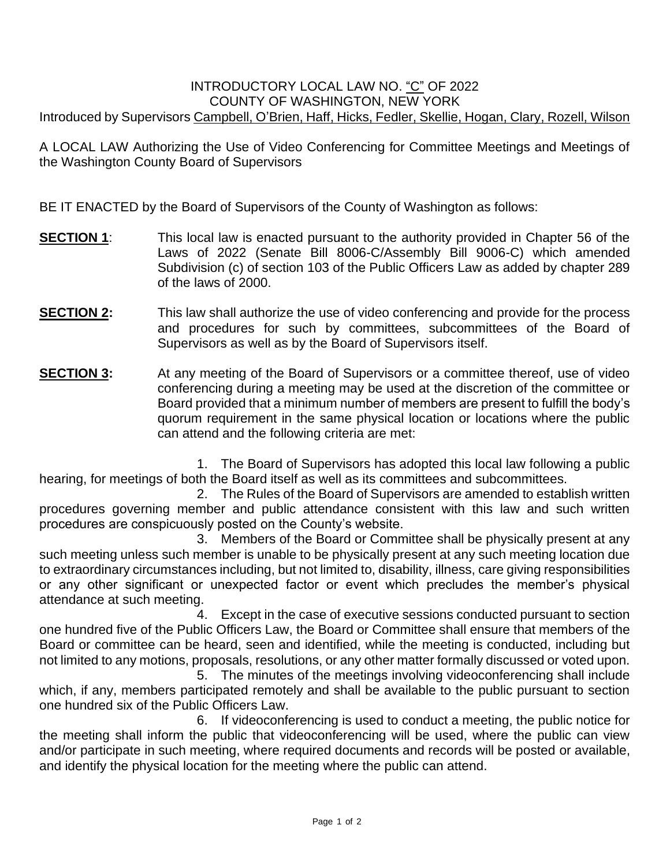## INTRODUCTORY LOCAL LAW NO. "C" OF 2022 COUNTY OF WASHINGTON, NEW YORK Introduced by Supervisors Campbell, O'Brien, Haff, Hicks, Fedler, Skellie, Hogan, Clary, Rozell, Wilson

A LOCAL LAW Authorizing the Use of Video Conferencing for Committee Meetings and Meetings of the Washington County Board of Supervisors

BE IT ENACTED by the Board of Supervisors of the County of Washington as follows:

- **SECTION 1**: This local law is enacted pursuant to the authority provided in Chapter 56 of the Laws of 2022 (Senate Bill 8006-C/Assembly Bill 9006-C) which amended Subdivision (c) of section 103 of the Public Officers Law as added by chapter 289 of the laws of 2000.
- **SECTION 2:** This law shall authorize the use of video conferencing and provide for the process and procedures for such by committees, subcommittees of the Board of Supervisors as well as by the Board of Supervisors itself.
- **SECTION 3:** At any meeting of the Board of Supervisors or a committee thereof, use of video conferencing during a meeting may be used at the discretion of the committee or Board provided that a minimum number of members are present to fulfill the body's quorum requirement in the same physical location or locations where the public can attend and the following criteria are met:

1. The Board of Supervisors has adopted this local law following a public hearing, for meetings of both the Board itself as well as its committees and subcommittees.

2. The Rules of the Board of Supervisors are amended to establish written procedures governing member and public attendance consistent with this law and such written procedures are conspicuously posted on the County's website.

3. Members of the Board or Committee shall be physically present at any such meeting unless such member is unable to be physically present at any such meeting location due to extraordinary circumstances including, but not limited to, disability, illness, care giving responsibilities or any other significant or unexpected factor or event which precludes the member's physical attendance at such meeting.

4. Except in the case of executive sessions conducted pursuant to section one hundred five of the Public Officers Law, the Board or Committee shall ensure that members of the Board or committee can be heard, seen and identified, while the meeting is conducted, including but not limited to any motions, proposals, resolutions, or any other matter formally discussed or voted upon.

5. The minutes of the meetings involving videoconferencing shall include which, if any, members participated remotely and shall be available to the public pursuant to section one hundred six of the Public Officers Law.

6. If videoconferencing is used to conduct a meeting, the public notice for the meeting shall inform the public that videoconferencing will be used, where the public can view and/or participate in such meeting, where required documents and records will be posted or available, and identify the physical location for the meeting where the public can attend.